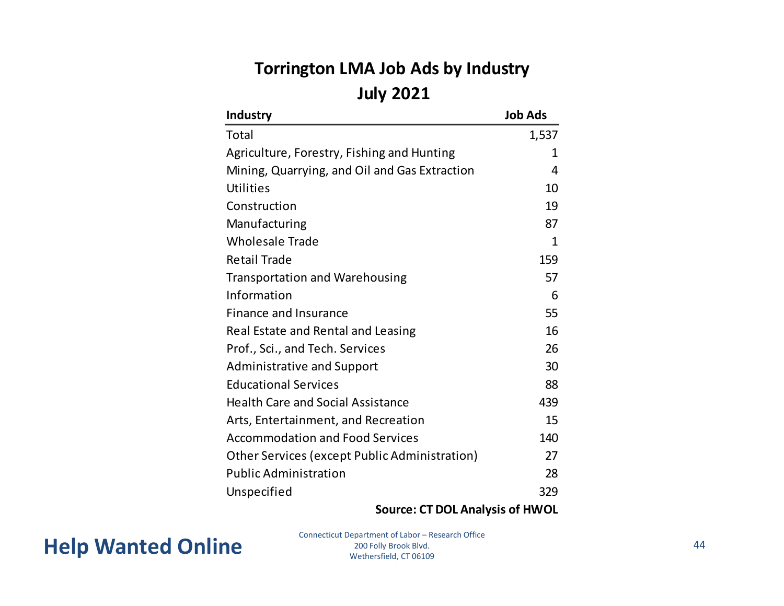#### **Torrington LMA Job Ads by Industry July 2021**

| <b>Industry</b>                               | <b>Job Ads</b> |
|-----------------------------------------------|----------------|
| Total                                         | 1,537          |
| Agriculture, Forestry, Fishing and Hunting    | 1              |
| Mining, Quarrying, and Oil and Gas Extraction | 4              |
| Utilities                                     | 10             |
| Construction                                  | 19             |
| Manufacturing                                 | 87             |
| <b>Wholesale Trade</b>                        | 1              |
| <b>Retail Trade</b>                           | 159            |
| <b>Transportation and Warehousing</b>         | 57             |
| Information                                   | 6              |
| <b>Finance and Insurance</b>                  | 55             |
| Real Estate and Rental and Leasing            | 16             |
| Prof., Sci., and Tech. Services               | 26             |
| <b>Administrative and Support</b>             | 30             |
| <b>Educational Services</b>                   | 88             |
| <b>Health Care and Social Assistance</b>      | 439            |
| Arts, Entertainment, and Recreation           | 15             |
| <b>Accommodation and Food Services</b>        | 140            |
| Other Services (except Public Administration) | 27             |
| <b>Public Administration</b>                  | 28             |
| Unspecified                                   | 329            |

#### **Source: CT DOL Analysis of HWOL**

Help Wanted Online<br>
<sup>200 Folly Brook Blvd.</sup><br>
Wethersfield. CT 06109

Connecticut Department of Labor – Research Office 200 Folly Brook Blvd. Wethersfield, CT 06109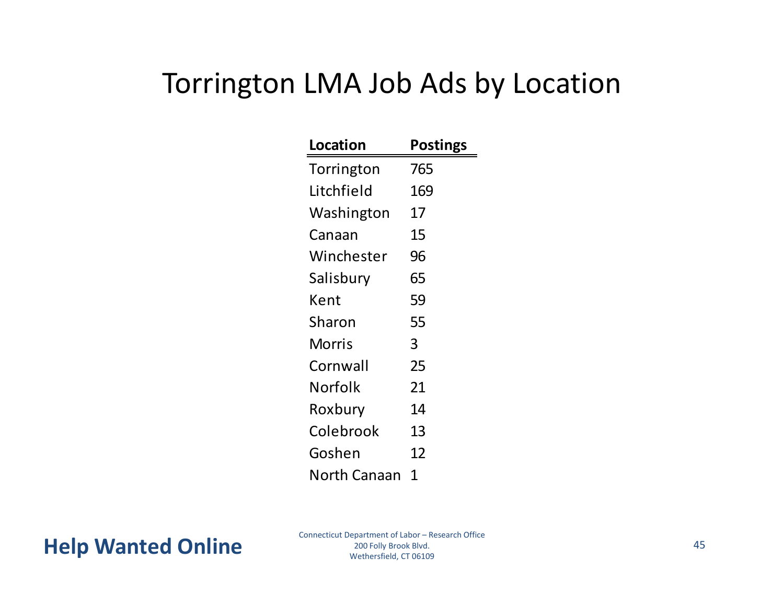## Torrington LMA Job Ads by Location

| Location     | Postings |
|--------------|----------|
| Torrington   | 765      |
| Litchfield   | 169      |
| Washington   | 17       |
| Canaan       | 15       |
| Winchester   | 96       |
| Salisbury    | 65       |
| Kent         | 59       |
| Sharon       | 55       |
| Morris       | 3        |
| Cornwall     | 25       |
| Norfolk      | 21       |
| Roxbury      | 14       |
| Colebrook    | 13       |
| Goshen       | 12       |
| North Canaan | 1        |

Connecticut Department of Labor – Research Office 200 Folly Brook Blvd. Wethersfield, CT 06109 Help Wanted Online<br>
<sup>200 Folly Brook Blvd.</sup><br>
Wethersfield. CT 06109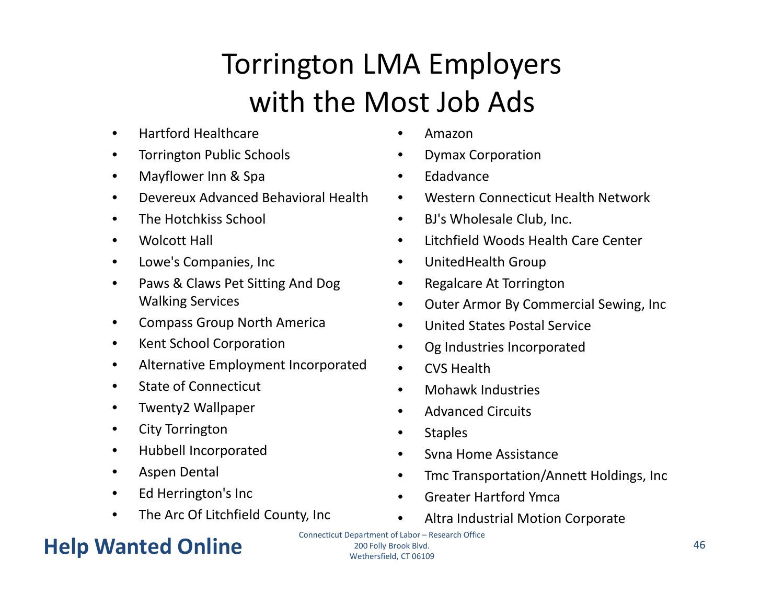# Torrington LMA Employers with the Most Job Ads

- •• Hartford Healthcare
- •Torrington Public Schools
- $\bullet$ Mayflower Inn & Spa
- •Devereux Advanced Behavioral Health
- •**•** The Hotchkiss School
- •Wolcott Hall
- •• Lowe's Companies, Inc
- • Paws & Claws Pet Sitting And Dog Walking Services
- •Compass Group North America
- •Kent School Corporation
- $\bullet$ Alternative Employment Incorporated
- $\bullet$ • State of Connecticut
- •Twenty2 Wallpaper
- •City Torrington
- •Hubbell Incorporated
- •Aspen Dental
- •• Ed Herrington's Inc
- $\bullet$ The Arc Of Litchfield County, Inc

### Help Wanted Online **All Solutions Expansion Structure** 200 Folly Brook Blvd. **Also and All Structure** 46

•Amazon

- •Dymax Corporation
- •Edadvance
- $\bullet$ Western Connecticut Health Network
- $\bullet$ BJ's Wholesale Club, Inc.
- •Litchfield Woods Health Care Center
- •UnitedHealth Group
- $\bullet$ Regalcare At Torrington
- $\bullet$ Outer Armor By Commercial Sewing, Inc
- •United States Postal Service
- •Og Industries Incorporated
- •CVS Health
- •• Mohawk Industries
- •**•** Advanced Circuits
- $\bullet$ **Staples**
- •• Syna Home Assistance
- •Tmc Transportation/Annett Holdings, Inc
- •**•** Greater Hartford Ymca
- •Altra Industrial Motion Corporate